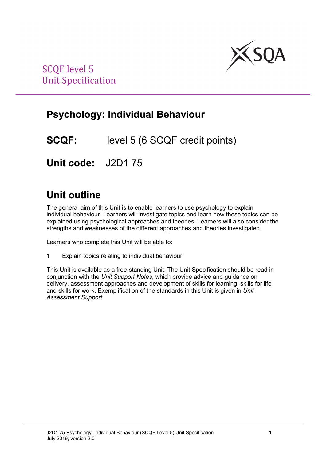

# **Psychology: Individual Behaviour**

**SCQF:** level 5 (6 SCQF credit points)

**Unit code:** J2D1 75

# **Unit outline**

The general aim of this Unit is to enable learners to use psychology to explain individual behaviour. Learners will investigate topics and learn how these topics can be explained using psychological approaches and theories. Learners will also consider the strengths and weaknesses of the different approaches and theories investigated.

Learners who complete this Unit will be able to:

1 Explain topics relating to individual behaviour

This Unit is available as a free-standing Unit. The Unit Specification should be read in conjunction with the *Unit Support Notes*, which provide advice and guidance on delivery, assessment approaches and development of skills for learning, skills for life and skills for work. Exemplification of the standards in this Unit is given in *Unit Assessment Support*.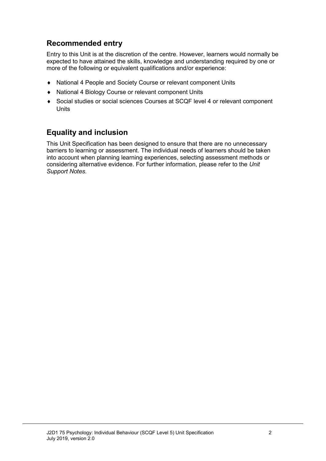### **Recommended entry**

Entry to this Unit is at the discretion of the centre. However, learners would normally be expected to have attained the skills, knowledge and understanding required by one or more of the following or equivalent qualifications and/or experience:

- ♦ National 4 People and Society Course or relevant component Units
- ♦ National 4 Biology Course or relevant component Units
- ♦ Social studies or social sciences Courses at SCQF level 4 or relevant component **Units**

### **Equality and inclusion**

This Unit Specification has been designed to ensure that there are no unnecessary barriers to learning or assessment. The individual needs of learners should be taken into account when planning learning experiences, selecting assessment methods or considering alternative evidence. For further information, please refer to the *Unit Support Notes.*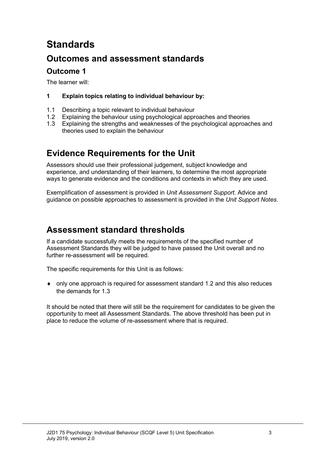# **Standards**

### **Outcomes and assessment standards**

### **Outcome 1**

The learner will:

### **1 Explain topics relating to individual behaviour by:**

- 1.1 Describing a topic relevant to individual behaviour<br>1.2 Explaining the behaviour using psychological appr
- 1.2 Explaining the behaviour using psychological approaches and theories<br>1.3 Explaining the strengths and weaknesses of the psychological approac
- Explaining the strengths and weaknesses of the psychological approaches and theories used to explain the behaviour

## **Evidence Requirements for the Unit**

Assessors should use their professional judgement, subject knowledge and experience, and understanding of their learners, to determine the most appropriate ways to generate evidence and the conditions and contexts in which they are used.

Exemplification of assessment is provided in *Unit Assessment Support*. Advice and guidance on possible approaches to assessment is provided in the *Unit Support Notes*.

### **Assessment standard thresholds**

If a candidate successfully meets the requirements of the specified number of Assessment Standards they will be judged to have passed the Unit overall and no further re-assessment will be required.

The specific requirements for this Unit is as follows:

♦ only one approach is required for assessment standard 1.2 and this also reduces the demands for 1.3

It should be noted that there will still be the requirement for candidates to be given the opportunity to meet all Assessment Standards. The above threshold has been put in place to reduce the volume of re-assessment where that is required.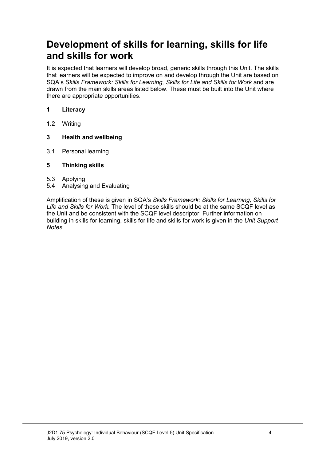# **Development of skills for learning, skills for life and skills for work**

It is expected that learners will develop broad, generic skills through this Unit. The skills that learners will be expected to improve on and develop through the Unit are based on SQA's *Skills Framework: Skills for Learning, Skills for Life and Skills for Work* and are drawn from the main skills areas listed below. These must be built into the Unit where there are appropriate opportunities.

### **1 Literacy**

1.2 Writing

### **3 Health and wellbeing**

3.1 Personal learning

#### **5 Thinking skills**

- 5.3 Applying
- 5.4 Analysing and Evaluating

Amplification of these is given in SQA's *Skills Framework: Skills for Learning, Skills for Life and Skills for Work.* The level of these skills should be at the same SCQF level as the Unit and be consistent with the SCQF level descriptor. Further information on building in skills for learning, skills for life and skills for work is given in the *Unit Support Notes.*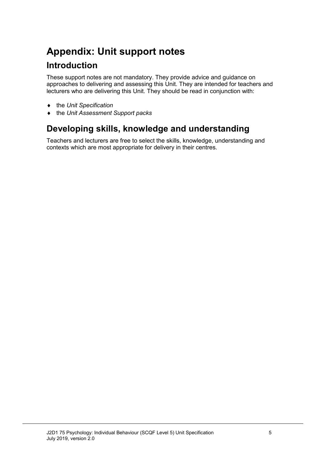# **Appendix: Unit support notes**

### **Introduction**

These support notes are not mandatory. They provide advice and guidance on approaches to delivering and assessing this Unit. They are intended for teachers and lecturers who are delivering this Unit. They should be read in conjunction with:

- ♦ the *Unit Specification*
- ♦ the *Unit Assessment Support packs*

### **Developing skills, knowledge and understanding**

Teachers and lecturers are free to select the skills, knowledge, understanding and contexts which are most appropriate for delivery in their centres.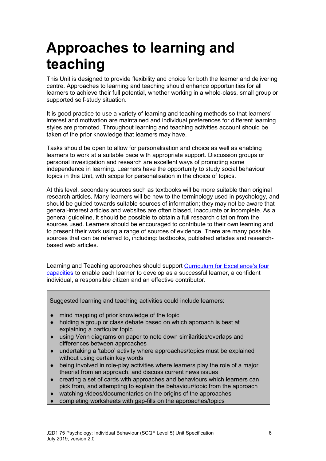# **Approaches to learning and teaching**

This Unit is designed to provide flexibility and choice for both the learner and delivering centre. Approaches to learning and teaching should enhance opportunities for all learners to achieve their full potential, whether working in a whole-class, small group or supported self-study situation.

It is good practice to use a variety of learning and teaching methods so that learners' interest and motivation are maintained and individual preferences for different learning styles are promoted. Throughout learning and teaching activities account should be taken of the prior knowledge that learners may have.

Tasks should be open to allow for personalisation and choice as well as enabling learners to work at a suitable pace with appropriate support. Discussion groups or personal investigation and research are excellent ways of promoting some independence in learning. Learners have the opportunity to study social behaviour topics in this Unit, with scope for personalisation in the choice of topics.

At this level, secondary sources such as textbooks will be more suitable than original research articles. Many learners will be new to the terminology used in psychology, and should be guided towards suitable sources of information; they may not be aware that general-interest articles and websites are often biased, inaccurate or incomplete. As a general guideline, it should be possible to obtain a full research citation from the sources used. Learners should be encouraged to contribute to their own learning and to present their work using a range of sources of evidence. There are many possible sources that can be referred to, including: textbooks, published articles and researchbased web articles.

Learning and Teaching approaches should support [Curriculum for Excellence's four](http://www.ltscotland.org.uk/understandingthecurriculum/whatiscurriculumforexcellence/thepurposeofthecurriculum/index.asp)  [capacities](http://www.ltscotland.org.uk/understandingthecurriculum/whatiscurriculumforexcellence/thepurposeofthecurriculum/index.asp) to enable each learner to develop as a successful learner, a confident individual, a responsible citizen and an effective contributor.

Suggested learning and teaching activities could include learners:

- ♦ mind mapping of prior knowledge of the topic
- ♦ holding a group or class debate based on which approach is best at explaining a particular topic
- using Venn diagrams on paper to note down similarities/overlaps and differences between approaches
- undertaking a 'taboo' activity where approaches/topics must be explained without using certain key words
- ♦ being involved in role-play activities where learners play the role of a major theorist from an approach, and discuss current news issues
- creating a set of cards with approaches and behaviours which learners can pick from, and attempting to explain the behaviour/topic from the approach
- watching videos/documentaries on the origins of the approaches
- completing worksheets with gap-fills on the approaches/topics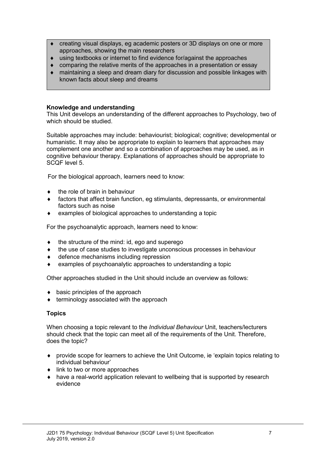- ♦ creating visual displays, eg academic posters or 3D displays on one or more approaches, showing the main researchers
- ♦ using textbooks or internet to find evidence for/against the approaches
- comparing the relative merits of the approaches in a presentation or essay
- maintaining a sleep and dream diary for discussion and possible linkages with known facts about sleep and dreams

#### **Knowledge and understanding**

This Unit develops an understanding of the different approaches to Psychology, two of which should be studied.

Suitable approaches may include: behaviourist; biological; cognitive; developmental or humanistic. It may also be appropriate to explain to learners that approaches may complement one another and so a combination of approaches may be used, as in cognitive behaviour therapy. Explanations of approaches should be appropriate to SCQF level 5.

For the biological approach, learners need to know:

- the role of brain in behaviour
- ♦ factors that affect brain function, eg stimulants, depressants, or environmental factors such as noise
- examples of biological approaches to understanding a topic

For the psychoanalytic approach, learners need to know:

- the structure of the mind: id, ego and superego
- ♦ the use of case studies to investigate unconscious processes in behaviour
- defence mechanisms including repression
- examples of psychoanalytic approaches to understanding a topic

Other approaches studied in the Unit should include an overview as follows:

- $\bullet$  basic principles of the approach
- terminology associated with the approach

#### **Topics**

When choosing a topic relevant to the *Individual Behaviour* Unit, teachers/lecturers should check that the topic can meet all of the requirements of the Unit. Therefore, does the topic?

- ♦ provide scope for learners to achieve the Unit Outcome, ie 'explain topics relating to individual behaviour'
- $\bullet$  link to two or more approaches
- ♦ have a real-world application relevant to wellbeing that is supported by research evidence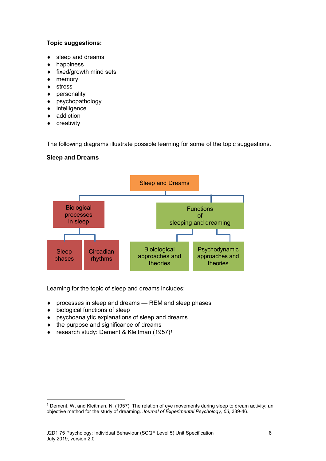#### **Topic suggestions:**

- sleep and dreams
- happiness
- fixed/growth mind sets
- ♦ memory
- ♦ stress
- ♦ personality
- ♦ psychopathology
- ♦ intelligence
- ♦ addiction
- ♦ creativity

The following diagrams illustrate possible learning for some of the topic suggestions.

### **Sleep and Dreams**



Learning for the topic of sleep and dreams includes:

- ♦ processes in sleep and dreams REM and sleep phases
- ♦ biological functions of sleep
- ♦ psychoanalytic explanations of sleep and dreams
- ♦ the purpose and significance of dreams
- ◆ research study: Dement & Kleitman (1957)<sup>1</sup>

<span id="page-7-0"></span> <sup>1</sup> Dement, W. and Kleitman, N. (1957). The relation of eye movements during sleep to dream activity: an objective method for the study of dreaming. *Journal of Experimental Psychology, 53*, 339-46.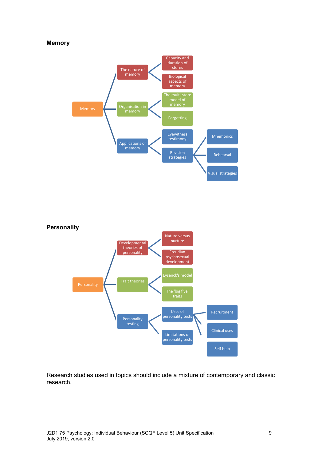#### **Memory**





Research studies used in topics should include a mixture of contemporary and classic research.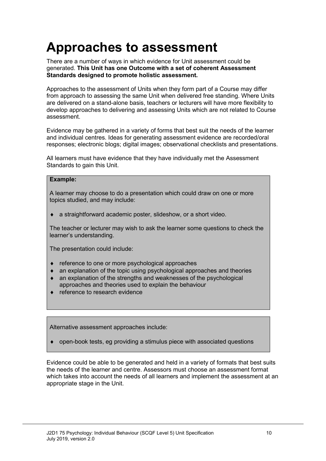# **Approaches to assessment**

There are a number of ways in which evidence for Unit assessment could be generated. **This Unit has one Outcome with a set of coherent Assessment Standards designed to promote holistic assessment.**

Approaches to the assessment of Units when they form part of a Course may differ from approach to assessing the same Unit when delivered free standing. Where Units are delivered on a stand-alone basis, teachers or lecturers will have more flexibility to develop approaches to delivering and assessing Units which are not related to Course assessment.

Evidence may be gathered in a variety of forms that best suit the needs of the learner and individual centres. Ideas for generating assessment evidence are recorded/oral responses; electronic blogs; digital images; observational checklists and presentations.

All learners must have evidence that they have individually met the Assessment Standards to gain this Unit.

#### **Example:**

A learner may choose to do a presentation which could draw on one or more topics studied, and may include:

a straightforward academic poster, slideshow, or a short video.

The teacher or lecturer may wish to ask the learner some questions to check the learner's understanding.

The presentation could include:

- ♦ reference to one or more psychological approaches
- $\bullet$  an explanation of the topic using psychological approaches and theories
- ♦ an explanation of the strengths and weaknesses of the psychological approaches and theories used to explain the behaviour
- reference to research evidence

Alternative assessment approaches include:

open-book tests, eg providing a stimulus piece with associated questions

Evidence could be able to be generated and held in a variety of formats that best suits the needs of the learner and centre. Assessors must choose an assessment format which takes into account the needs of all learners and implement the assessment at an appropriate stage in the Unit.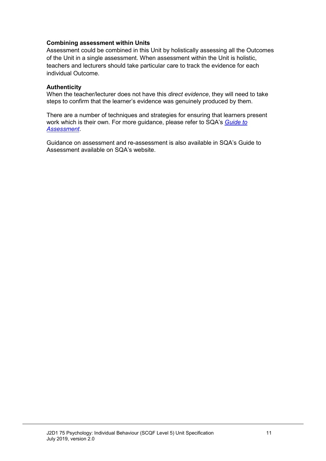#### **Combining assessment within Units**

Assessment could be combined in this Unit by holistically assessing all the Outcomes of the Unit in a single assessment. When assessment within the Unit is holistic, teachers and lecturers should take particular care to track the evidence for each individual Outcome.

#### **Authenticity**

When the teacher/lecturer does not have this *direct evidence*, they will need to take steps to confirm that the learner's evidence was genuinely produced by them.

There are a number of techniques and strategies for ensuring that learners present work which is their own. For more guidance, please refer to SQA's *[Guide to](http://www.sqa.org.uk/files_ccc/GuideToAssessment.pdf)  [Assessment](http://www.sqa.org.uk/files_ccc/GuideToAssessment.pdf)*.

Guidance on assessment and re-assessment is also available in SQA's Guide to Assessment available on SQA's website.